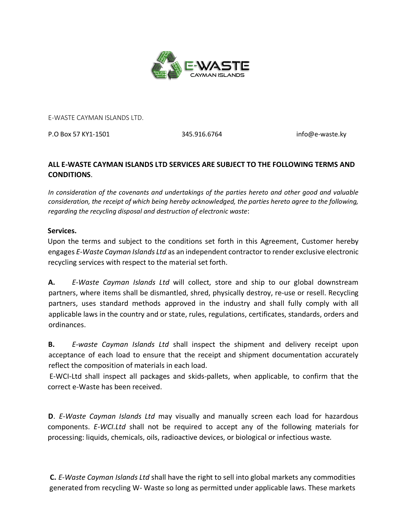

E-WASTE CAYMAN ISLANDS LTD.

P.O Box 57 KY1-1501 345.916.6764 info@e-waste.ky

## **ALL E-WASTE CAYMAN ISLANDS LTD SERVICES ARE SUBJECT TO THE FOLLOWING TERMS AND CONDITIONS**.

*In consideration of the covenants and undertakings of the parties hereto and other good and valuable consideration, the receipt of which being hereby acknowledged, the parties hereto agree to the following, regarding the recycling disposal and destruction of electronic waste*:

## **Services.**

Upon the terms and subject to the conditions set forth in this Agreement, Customer hereby engages *E-Waste Cayman Islands Ltd* as an independent contractor to render exclusive electronic recycling services with respect to the material set forth.

**A.** *E-Waste Cayman Islands Ltd* will collect, store and ship to our global downstream partners, where items shall be dismantled, shred, physically destroy, re-use or resell. Recycling partners, uses standard methods approved in the industry and shall fully comply with all applicable laws in the country and or state, rules, regulations, certificates, standards, orders and ordinances.

**B.** *E-waste Cayman Islands Ltd* shall inspect the shipment and delivery receipt upon acceptance of each load to ensure that the receipt and shipment documentation accurately reflect the composition of materials in each load.

E-WCI-Ltd shall inspect all packages and skids-pallets, when applicable, to confirm that the correct e-Waste has been received.

**D**. *E-Waste Cayman Islands Ltd* may visually and manually screen each load for hazardous components. *E-WCI.Ltd* shall not be required to accept any of the following materials for processing: liquids, chemicals, oils, radioactive devices, or biological or infectious waste*.*

**C.** *E-Waste Cayman Islands Ltd* shall have the right to sell into global markets any commodities generated from recycling W- Waste so long as permitted under applicable laws. These markets